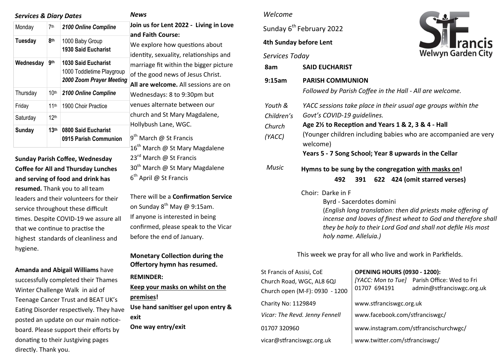| <b>Services &amp; Diary Dates</b> |                  |                                                                                     |
|-----------------------------------|------------------|-------------------------------------------------------------------------------------|
| Monday                            | 7th              | 2100 Online Compline                                                                |
| <b>Tuesday</b>                    | 8 <sub>th</sub>  | 1000 Baby Group<br><b>1930 Said Eucharist</b>                                       |
| Wednesday                         | gth              | <b>1030 Said Eucharist</b><br>1000 Toddletime Playgroup<br>2000 Zoom Prayer Meeting |
| Thursday                          | 10 <sup>th</sup> | 2100 Online Compline                                                                |
| Friday                            | 11th             | 1900 Choir Practice                                                                 |
| Saturday                          | 12 <sup>th</sup> |                                                                                     |
| Sunday                            | 13 <sup>th</sup> | 0800 Said Eucharist<br>0915 Parish Communion                                        |

**Sunday Parish Coffee, Wednesday Coffee for All and Thursday Lunches and serving of food and drink has** 

**resumed.** Thank you to all team leaders and their volunteers for their service throughout these difficult times. Despite COVID-19 we assure all that we continue to practise the highest standards of cleanliness and hygiene.

**Amanda and Abigail Williams** have successfully completed their Thames Winter Challenge Walk in aid of Teenage Cancer Trust and BEAT UK's Eating Disorder respectively. They have posted an update on our main noticeboard. Please support their efforts by donating to their Justgiving pages directly. Thank you.

*News* 

**Join us for Lent 2022 - Living in Love and Faith Course:** 

We explore how questions about identity, sexuality, relationships and marriage fit within the bigger picture of the good news of Jesus Christ.

**All are welcome.** All sessions are on Wednesdays: 8 to 9:30pm but venues alternate between our church and St Mary Magdalene, Hollybush Lane, WGC.

9<sup>th</sup> March @ St Francis  $16^{\text{th}}$  March @ St Mary Magdalene 23<sup>rd</sup> March @ St Francis  $30<sup>th</sup>$  March @ St Mary Magdalene 6<sup>th</sup> April @ St Francis

There will be a **Confirmation Service**  on Sunday  $8^{th}$  May @ 9:15am. If anyone is interested in being confirmed, please speak to the Vicar before the end of January.

### **Monetary Collection during the Offertory hymn has resumed.**

**REMINDER:** 

**Keep your masks on whilst on the premises! Use hand sanitiser gel upon entry & exit** 

**One way entry/exit**

#### *Welcome*

Sunday 6<sup>th</sup> February 2022

#### **4th Sunday before Lent**



| Services Today                            | <b>Welwyn Garden City</b>                                                                                                                                                                                                                                                                               |  |  |  |  |
|-------------------------------------------|---------------------------------------------------------------------------------------------------------------------------------------------------------------------------------------------------------------------------------------------------------------------------------------------------------|--|--|--|--|
| 8am                                       | <b>SAID EUCHARIST</b>                                                                                                                                                                                                                                                                                   |  |  |  |  |
| 9:15am                                    | <b>PARISH COMMUNION</b><br>Followed by Parish Coffee in the Hall - All are welcome.                                                                                                                                                                                                                     |  |  |  |  |
| Youth &<br>Children's<br>Church<br>(YACC) | YACC sessions take place in their usual age groups within the<br>Govt's COVID-19 guidelines.<br>Age 2 <sup>1/2</sup> to Reception and Years 1 & 2, 3 & 4 - Hall<br>(Younger children including babies who are accompanied are very<br>welcome)<br>Years 5 - 7 Song School; Year 8 upwards in the Cellar |  |  |  |  |
| <b>Music</b>                              | Hymns to be sung by the congregation with masks on!<br>622 424 (omit starred verses)<br>391<br>492                                                                                                                                                                                                      |  |  |  |  |
|                                           | Choir: Darke in F<br>Byrd - Sacerdotes domini                                                                                                                                                                                                                                                           |  |  |  |  |

(*English long translation: then did priests make offering of incense and loaves of finest wheat to God and therefore shall they be holy to their Lord God and shall not defile His most holy name. Alleluia.)*

This week we pray for all who live and work in Parkfields.

| St Francis of Assisi, CoE      | <b>OPENING HOURS (0930 - 1200):</b>   |                                                                           |  |
|--------------------------------|---------------------------------------|---------------------------------------------------------------------------|--|
| Church Road, WGC, AL8 6QJ      |                                       | [YACC: Mon to Tue] Parish Office: Wed to Fri<br>admin@stfranciswgc.org.uk |  |
| Church open (M-F): 0930 - 1200 | 01707 694191                          |                                                                           |  |
| Charity No: 1129849            | www.stfranciswgc.org.uk               |                                                                           |  |
| Vicar: The Revd. Jenny Fennell | www.facebook.com/stfranciswgc/        |                                                                           |  |
| 01707 320960                   | www.instagram.com/stfrancischurchwgc/ |                                                                           |  |
| vicar@stfranciswgc.org.uk      | www.twitter.com/stfranciswgc/         |                                                                           |  |